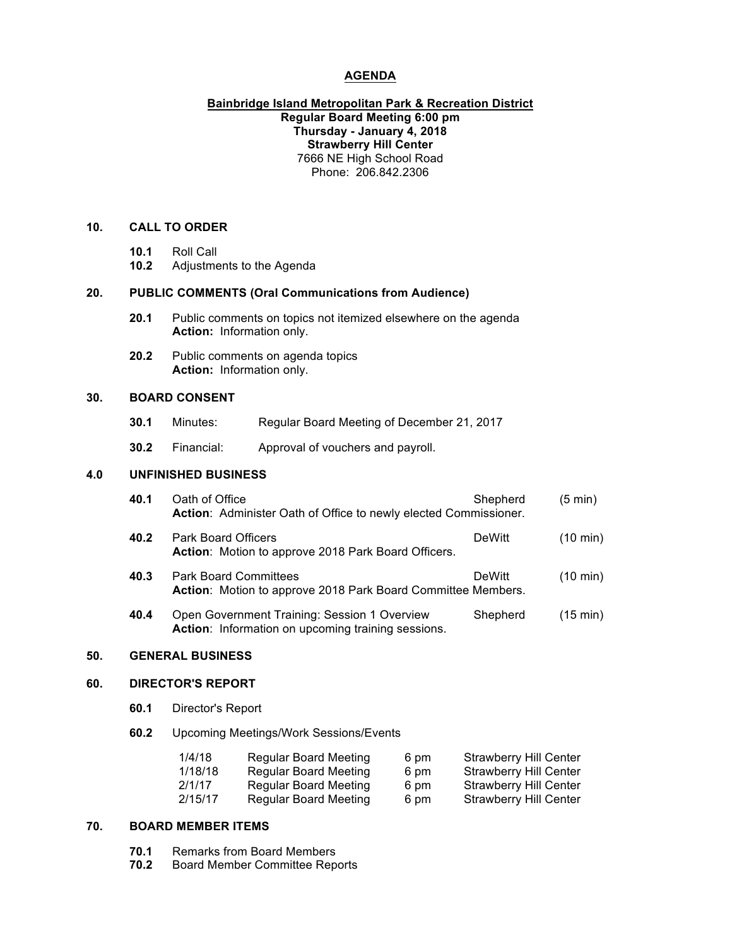# **AGENDA**

# **Bainbridge Island Metropolitan Park & Recreation District Regular Board Meeting 6:00 pm Thursday - January 4, 2018 Strawberry Hill Center** 7666 NE High School Road Phone: 206.842.2306

#### **10. CALL TO ORDER**

- **10.1** Roll Call
- **10.2** Adjustments to the Agenda

#### **20. PUBLIC COMMENTS (Oral Communications from Audience)**

- **20.1** Public comments on topics not itemized elsewhere on the agenda **Action:** Information only.
- **20.2** Public comments on agenda topics **Action:** Information only.

#### **30. BOARD CONSENT**

- **30.1** Minutes: Regular Board Meeting of December 21, 2017
- **30.2** Financial: Approval of vouchers and payroll.

# **4.0 UNFINISHED BUSINESS**

| 40.1 | Oath of Office<br>Action: Administer Oath of Office to newly elected Commissioner.                 | Shepherd      | $(5 \text{ min})$  |
|------|----------------------------------------------------------------------------------------------------|---------------|--------------------|
| 40.2 | <b>Park Board Officers</b><br>Action: Motion to approve 2018 Park Board Officers.                  | <b>DeWitt</b> | $(10 \text{ min})$ |
| 40.3 | <b>Park Board Committees</b><br>Action: Motion to approve 2018 Park Board Committee Members.       | <b>DeWitt</b> | $(10 \text{ min})$ |
| 40.4 | Open Government Training: Session 1 Overview<br>Action: Information on upcoming training sessions. | Shepherd      | $(15 \text{ min})$ |

#### **50. GENERAL BUSINESS**

# **60. DIRECTOR'S REPORT**

- **60.1** Director's Report
- **60.2** Upcoming Meetings/Work Sessions/Events

| 1/4/18  | <b>Regular Board Meeting</b> | 6 pm | <b>Strawberry Hill Center</b> |
|---------|------------------------------|------|-------------------------------|
| 1/18/18 | <b>Regular Board Meeting</b> | 6 pm | Strawberry Hill Center        |
| 2/1/17  | Regular Board Meeting        | 6 pm | <b>Strawberry Hill Center</b> |
| 2/15/17 | Regular Board Meeting        | 6 pm | Strawberry Hill Center        |

# **70. BOARD MEMBER ITEMS**

- **70.1** Remarks from Board Members
- **70.2** Board Member Committee Reports